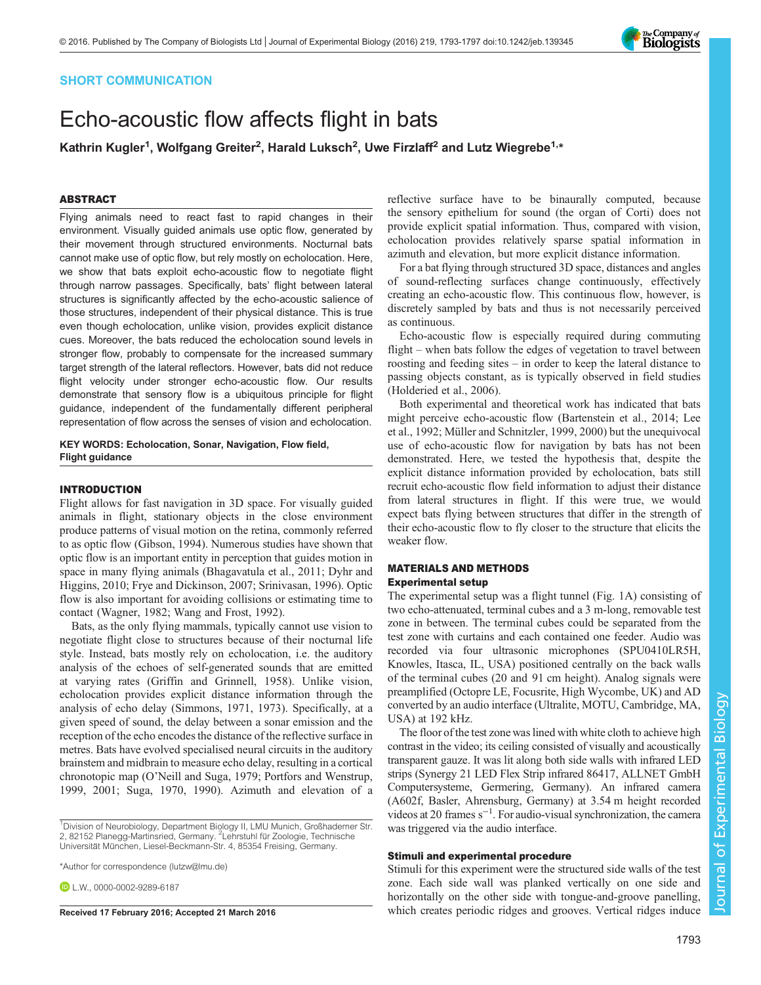## SHORT COMMUNICATION

# Echo-acoustic flow affects flight in bats

Kathrin Kugler<sup>1</sup>, Wolfgang Greiter<sup>2</sup>, Harald Luksch<sup>2</sup>, Uwe Firzlaff<sup>2</sup> and Lutz Wiegrebe<sup>1,\*</sup>

## ABSTRACT

Flying animals need to react fast to rapid changes in their environment. Visually guided animals use optic flow, generated by their movement through structured environments. Nocturnal bats cannot make use of optic flow, but rely mostly on echolocation. Here, we show that bats exploit echo-acoustic flow to negotiate flight through narrow passages. Specifically, bats' flight between lateral structures is significantly affected by the echo-acoustic salience of those structures, independent of their physical distance. This is true even though echolocation, unlike vision, provides explicit distance cues. Moreover, the bats reduced the echolocation sound levels in stronger flow, probably to compensate for the increased summary target strength of the lateral reflectors. However, bats did not reduce flight velocity under stronger echo-acoustic flow. Our results demonstrate that sensory flow is a ubiquitous principle for flight guidance, independent of the fundamentally different peripheral representation of flow across the senses of vision and echolocation.

KEY WORDS: Echolocation, Sonar, Navigation, Flow field, Flight guidance

#### INTRODUCTION

Flight allows for fast navigation in 3D space. For visually guided animals in flight, stationary objects in the close environment produce patterns of visual motion on the retina, commonly referred to as optic flow [\(Gibson, 1994](#page-4-0)). Numerous studies have shown that optic flow is an important entity in perception that guides motion in space in many flying animals [\(Bhagavatula et al., 2011; Dyhr and](#page-4-0) [Higgins, 2010](#page-4-0); [Frye and Dickinson, 2007; Srinivasan, 1996\)](#page-4-0). Optic flow is also important for avoiding collisions or estimating time to contact [\(Wagner, 1982; Wang and Frost, 1992](#page-4-0)).

Bats, as the only flying mammals, typically cannot use vision to negotiate flight close to structures because of their nocturnal life style. Instead, bats mostly rely on echolocation, i.e. the auditory analysis of the echoes of self-generated sounds that are emitted at varying rates ([Griffin and Grinnell, 1958\)](#page-4-0). Unlike vision, echolocation provides explicit distance information through the analysis of echo delay ([Simmons, 1971, 1973](#page-4-0)). Specifically, at a given speed of sound, the delay between a sonar emission and the reception of the echo encodes the distance of the reflective surface in metres. Bats have evolved specialised neural circuits in the auditory brainstem and midbrain to measure echo delay, resulting in a cortical chronotopic map (O'[Neill and Suga, 1979; Portfors and Wenstrup,](#page-4-0) [1999](#page-4-0), [2001; Suga, 1970, 1990](#page-4-0)). Azimuth and elevation of a

\*Author for correspondence [\(lutzw@lmu.de\)](mailto:lutzw@lmu.de)

**D** L.W., [0000-0002-9289-6187](http://orcid.org/0000-0002-9289-6187)

reflective surface have to be binaurally computed, because the sensory epithelium for sound (the organ of Corti) does not provide explicit spatial information. Thus, compared with vision, echolocation provides relatively sparse spatial information in azimuth and elevation, but more explicit distance information.

For a bat flying through structured 3D space, distances and angles of sound-reflecting surfaces change continuously, effectively creating an echo-acoustic flow. This continuous flow, however, is discretely sampled by bats and thus is not necessarily perceived as continuous.

Echo-acoustic flow is especially required during commuting flight – when bats follow the edges of vegetation to travel between roosting and feeding sites – in order to keep the lateral distance to passing objects constant, as is typically observed in field studies [\(Holderied et al., 2006\)](#page-4-0).

Both experimental and theoretical work has indicated that bats might perceive echo-acoustic flow [\(Bartenstein et al., 2014; Lee](#page-4-0) [et al., 1992](#page-4-0); [Müller and Schnitzler, 1999](#page-4-0), [2000](#page-4-0)) but the unequivocal use of echo-acoustic flow for navigation by bats has not been demonstrated. Here, we tested the hypothesis that, despite the explicit distance information provided by echolocation, bats still recruit echo-acoustic flow field information to adjust their distance from lateral structures in flight. If this were true, we would expect bats flying between structures that differ in the strength of their echo-acoustic flow to fly closer to the structure that elicits the weaker flow.

## MATERIALS AND METHODS Experimental setup

The experimental setup was a flight tunnel [\(Fig. 1A](#page-1-0)) consisting of two echo-attenuated, terminal cubes and a 3 m-long, removable test zone in between. The terminal cubes could be separated from the test zone with curtains and each contained one feeder. Audio was recorded via four ultrasonic microphones (SPU0410LR5H, Knowles, Itasca, IL, USA) positioned centrally on the back walls of the terminal cubes (20 and 91 cm height). Analog signals were preamplified (Octopre LE, Focusrite, High Wycombe, UK) and AD converted by an audio interface (Ultralite, MOTU, Cambridge, MA, USA) at 192 kHz.

The floor of the test zone was lined with white cloth to achieve high contrast in the video; its ceiling consisted of visually and acoustically transparent gauze. It was lit along both side walls with infrared LED strips (Synergy 21 LED Flex Strip infrared 86417, ALLNET GmbH Computersysteme, Germering, Germany). An infrared camera (A602f, Basler, Ahrensburg, Germany) at 3.54 m height recorded videos at 20 frames s−<sup>1</sup> . For audio-visual synchronization, the camera was triggered via the audio interface.

#### Stimuli and experimental procedure

Stimuli for this experiment were the structured side walls of the test zone. Each side wall was planked vertically on one side and horizontally on the other side with tongue-and-groove panelling, Received 17 February 2016; Accepted 21 March 2016 which creates periodic ridges and grooves. Vertical ridges induce



<sup>&</sup>lt;sup>1</sup>Division of Neurobiology, Department Biology II, LMU Munich, Großhaderner Str. 2, 82152 Planegg-Martinsried, Germany. <sup>2</sup>Lehrstuhl für Zoologie, Technische Universität München, Liesel-Beckmann-Str. 4, 85354 Freising, Germany.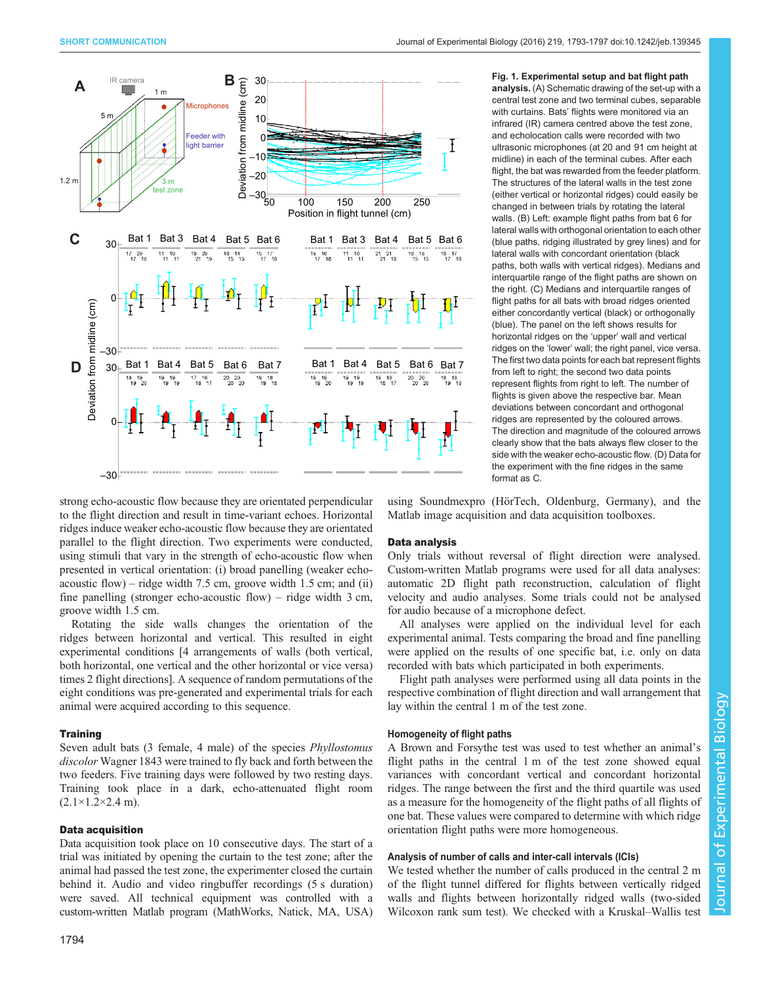<span id="page-1-0"></span>

Fig. 1. Experimental setup and bat flight path analysis. (A) Schematic drawing of the set-up with a central test zone and two terminal cubes, separable with curtains. Bats' flights were monitored via an infrared (IR) camera centred above the test zone, and echolocation calls were recorded with two ultrasonic microphones (at 20 and 91 cm height at midline) in each of the terminal cubes. After each flight, the bat was rewarded from the feeder platform. The structures of the lateral walls in the test zone (either vertical or horizontal ridges) could easily be changed in between trials by rotating the lateral walls. (B) Left: example flight paths from bat 6 for lateral walls with orthogonal orientation to each other (blue paths, ridging illustrated by grey lines) and for lateral walls with concordant orientation (black paths, both walls with vertical ridges). Medians and interquartile range of the flight paths are shown on the right. (C) Medians and interquartile ranges of flight paths for all bats with broad ridges oriented either concordantly vertical (black) or orthogonally (blue). The panel on the left shows results for horizontal ridges on the 'upper' wall and vertical ridges on the 'lower' wall; the right panel, vice versa. The first two data points for each bat represent flights from left to right; the second two data points represent flights from right to left. The number of flights is given above the respective bar. Mean deviations between concordant and orthogonal ridges are represented by the coloured arrows. The direction and magnitude of the coloured arrows clearly show that the bats always flew closer to the side with the weaker echo-acoustic flow. (D) Data for the experiment with the fine ridges in the same format as C.

strong echo-acoustic flow because they are orientated perpendicular to the flight direction and result in time-variant echoes. Horizontal ridges induce weaker echo-acoustic flow because they are orientated parallel to the flight direction. Two experiments were conducted, using stimuli that vary in the strength of echo-acoustic flow when presented in vertical orientation: (i) broad panelling (weaker echoacoustic flow) – ridge width 7.5 cm, groove width 1.5 cm; and (ii) fine panelling (stronger echo-acoustic flow) – ridge width 3 cm, groove width 1.5 cm.

Rotating the side walls changes the orientation of the ridges between horizontal and vertical. This resulted in eight experimental conditions [4 arrangements of walls (both vertical, both horizontal, one vertical and the other horizontal or vice versa) times 2 flight directions]. A sequence of random permutations of the eight conditions was pre-generated and experimental trials for each animal were acquired according to this sequence.

#### **Training**

Seven adult bats (3 female, 4 male) of the species *Phyllostomus* discolor Wagner 1843 were trained to fly back and forth between the two feeders. Five training days were followed by two resting days. Training took place in a dark, echo-attenuated flight room  $(2.1 \times 1.2 \times 2.4 \text{ m})$ .

## Data acquisition

Data acquisition took place on 10 consecutive days. The start of a trial was initiated by opening the curtain to the test zone; after the animal had passed the test zone, the experimenter closed the curtain behind it. Audio and video ringbuffer recordings (5 s duration) were saved. All technical equipment was controlled with a custom-written Matlab program (MathWorks, Natick, MA, USA)

using Soundmexpro (HörTech, Oldenburg, Germany), and the Matlab image acquisition and data acquisition toolboxes.

#### Data analysis

Only trials without reversal of flight direction were analysed. Custom-written Matlab programs were used for all data analyses: automatic 2D flight path reconstruction, calculation of flight velocity and audio analyses. Some trials could not be analysed for audio because of a microphone defect.

All analyses were applied on the individual level for each experimental animal. Tests comparing the broad and fine panelling were applied on the results of one specific bat, i.e. only on data recorded with bats which participated in both experiments.

Flight path analyses were performed using all data points in the respective combination of flight direction and wall arrangement that lay within the central 1 m of the test zone.

### Homogeneity of flight paths

A Brown and Forsythe test was used to test whether an animal's flight paths in the central 1 m of the test zone showed equal variances with concordant vertical and concordant horizontal ridges. The range between the first and the third quartile was used as a measure for the homogeneity of the flight paths of all flights of one bat. These values were compared to determine with which ridge orientation flight paths were more homogeneous.

#### Analysis of number of calls and inter-call intervals (ICIs)

We tested whether the number of calls produced in the central 2 m of the flight tunnel differed for flights between vertically ridged walls and flights between horizontally ridged walls (two-sided Wilcoxon rank sum test). We checked with a Kruskal–Wallis test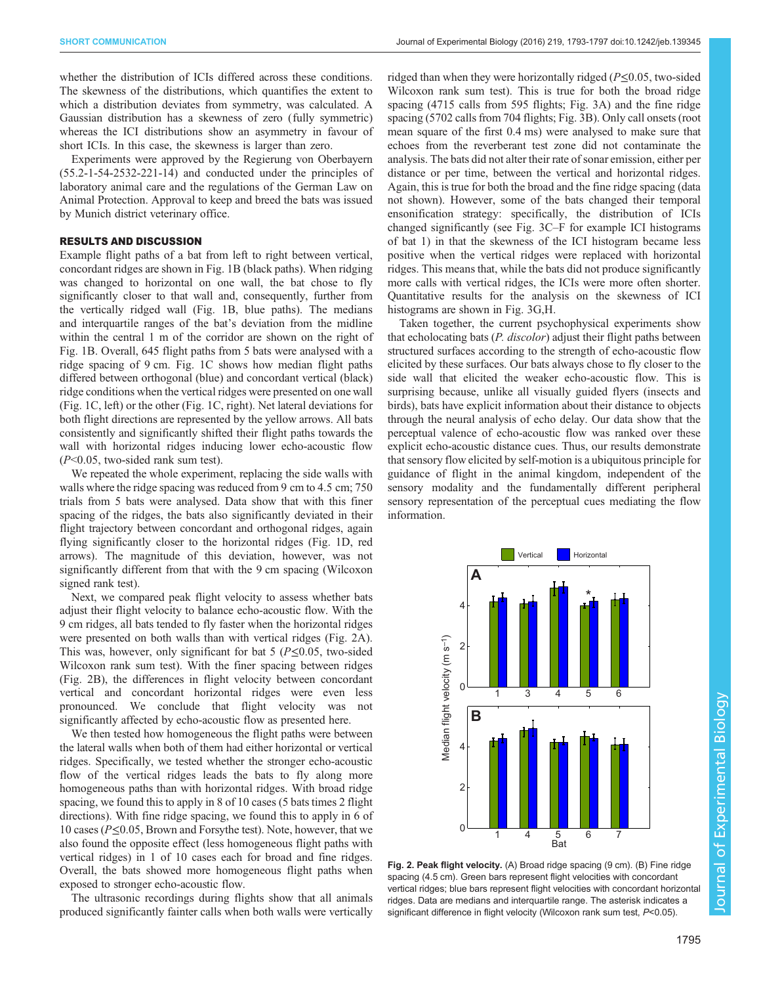<span id="page-2-0"></span>whether the distribution of ICIs differed across these conditions. The skewness of the distributions, which quantifies the extent to which a distribution deviates from symmetry, was calculated. A Gaussian distribution has a skewness of zero (fully symmetric) whereas the ICI distributions show an asymmetry in favour of short ICIs. In this case, the skewness is larger than zero.

Experiments were approved by the Regierung von Oberbayern (55.2-1-54-2532-221-14) and conducted under the principles of laboratory animal care and the regulations of the German Law on Animal Protection. Approval to keep and breed the bats was issued by Munich district veterinary office.

## RESULTS AND DISCUSSION

Example flight paths of a bat from left to right between vertical, concordant ridges are shown in [Fig. 1](#page-1-0)B (black paths). When ridging was changed to horizontal on one wall, the bat chose to fly significantly closer to that wall and, consequently, further from the vertically ridged wall [\(Fig. 1](#page-1-0)B, blue paths). The medians and interquartile ranges of the bat's deviation from the midline within the central 1 m of the corridor are shown on the right of [Fig. 1](#page-1-0)B. Overall, 645 flight paths from 5 bats were analysed with a ridge spacing of 9 cm. [Fig. 1](#page-1-0)C shows how median flight paths differed between orthogonal (blue) and concordant vertical (black) ridge conditions when the vertical ridges were presented on one wall [\(Fig. 1C](#page-1-0), left) or the other ([Fig. 1](#page-1-0)C, right). Net lateral deviations for both flight directions are represented by the yellow arrows. All bats consistently and significantly shifted their flight paths towards the wall with horizontal ridges inducing lower echo-acoustic flow (P<0.05, two-sided rank sum test).

We repeated the whole experiment, replacing the side walls with walls where the ridge spacing was reduced from 9 cm to 4.5 cm; 750 trials from 5 bats were analysed. Data show that with this finer spacing of the ridges, the bats also significantly deviated in their flight trajectory between concordant and orthogonal ridges, again flying significantly closer to the horizontal ridges [\(Fig. 1D](#page-1-0), red arrows). The magnitude of this deviation, however, was not significantly different from that with the 9 cm spacing (Wilcoxon signed rank test).

Next, we compared peak flight velocity to assess whether bats adjust their flight velocity to balance echo-acoustic flow. With the 9 cm ridges, all bats tended to fly faster when the horizontal ridges were presented on both walls than with vertical ridges (Fig. 2A). This was, however, only significant for bat 5 ( $P \le 0.05$ , two-sided Wilcoxon rank sum test). With the finer spacing between ridges (Fig. 2B), the differences in flight velocity between concordant vertical and concordant horizontal ridges were even less pronounced. We conclude that flight velocity was not significantly affected by echo-acoustic flow as presented here.

We then tested how homogeneous the flight paths were between the lateral walls when both of them had either horizontal or vertical ridges. Specifically, we tested whether the stronger echo-acoustic flow of the vertical ridges leads the bats to fly along more homogeneous paths than with horizontal ridges. With broad ridge spacing, we found this to apply in 8 of 10 cases (5 bats times 2 flight directions). With fine ridge spacing, we found this to apply in 6 of 10 cases (P≤0.05, Brown and Forsythe test). Note, however, that we also found the opposite effect (less homogeneous flight paths with vertical ridges) in 1 of 10 cases each for broad and fine ridges. Overall, the bats showed more homogeneous flight paths when exposed to stronger echo-acoustic flow.

The ultrasonic recordings during flights show that all animals produced significantly fainter calls when both walls were vertically

ridged than when they were horizontally ridged ( $P \le 0.05$ , two-sided Wilcoxon rank sum test). This is true for both the broad ridge spacing (4715 calls from 595 flights; [Fig. 3A](#page-3-0)) and the fine ridge spacing (5702 calls from 704 flights; [Fig. 3B](#page-3-0)). Only call onsets (root mean square of the first 0.4 ms) were analysed to make sure that echoes from the reverberant test zone did not contaminate the analysis. The bats did not alter their rate of sonar emission, either per distance or per time, between the vertical and horizontal ridges. Again, this is true for both the broad and the fine ridge spacing (data not shown). However, some of the bats changed their temporal ensonification strategy: specifically, the distribution of ICIs changed significantly (see [Fig. 3C](#page-3-0)–F for example ICI histograms of bat 1) in that the skewness of the ICI histogram became less positive when the vertical ridges were replaced with horizontal ridges. This means that, while the bats did not produce significantly more calls with vertical ridges, the ICIs were more often shorter. Quantitative results for the analysis on the skewness of ICI histograms are shown in [Fig. 3](#page-3-0)G,H.

Taken together, the current psychophysical experiments show that echolocating bats (*P. discolor*) adjust their flight paths between structured surfaces according to the strength of echo-acoustic flow elicited by these surfaces. Our bats always chose to fly closer to the side wall that elicited the weaker echo-acoustic flow. This is surprising because, unlike all visually guided flyers (insects and birds), bats have explicit information about their distance to objects through the neural analysis of echo delay. Our data show that the perceptual valence of echo-acoustic flow was ranked over these explicit echo-acoustic distance cues. Thus, our results demonstrate that sensory flow elicited by self-motion is a ubiquitous principle for guidance of flight in the animal kingdom, independent of the sensory modality and the fundamentally different peripheral sensory representation of the perceptual cues mediating the flow information.



Fig. 2. Peak flight velocity. (A) Broad ridge spacing (9 cm). (B) Fine ridge spacing (4.5 cm). Green bars represent flight velocities with concordant vertical ridges; blue bars represent flight velocities with concordant horizontal ridges. Data are medians and interquartile range. The asterisk indicates a significant difference in flight velocity (Wilcoxon rank sum test, P<0.05).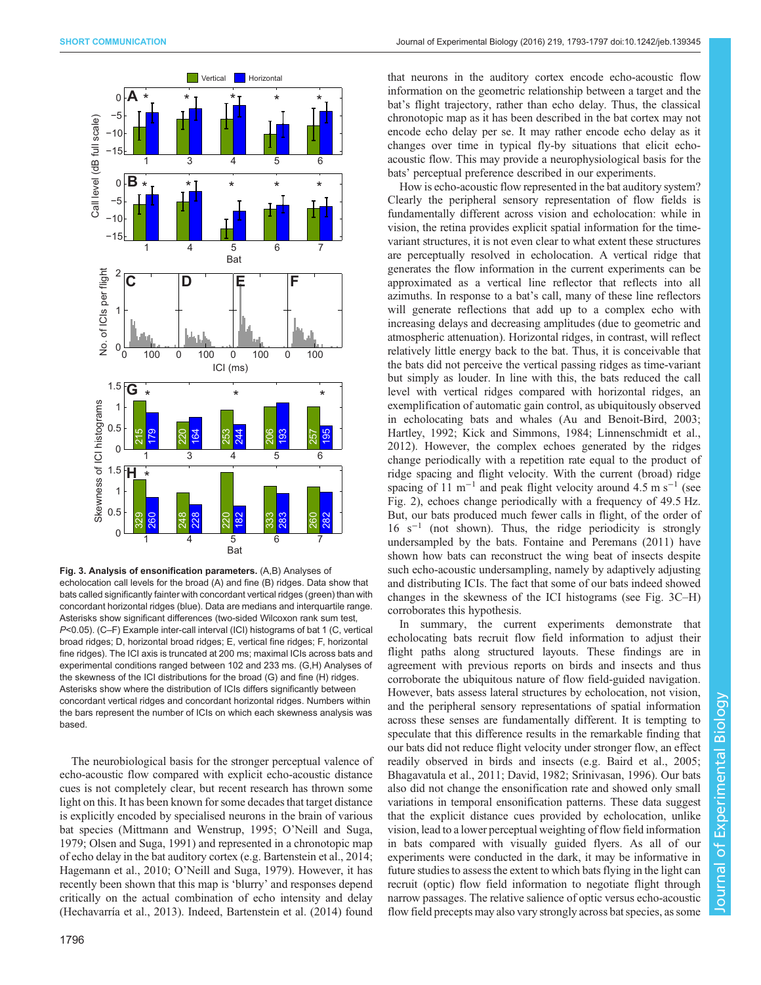<span id="page-3-0"></span>

Fig. 3. Analysis of ensonification parameters. (A,B) Analyses of echolocation call levels for the broad (A) and fine (B) ridges. Data show that bats called significantly fainter with concordant vertical ridges (green) than with concordant horizontal ridges (blue). Data are medians and interquartile range. Asterisks show significant differences (two-sided Wilcoxon rank sum test, P<0.05). (C-F) Example inter-call interval (ICI) histograms of bat 1 (C, vertical broad ridges; D, horizontal broad ridges; E, vertical fine ridges; F, horizontal fine ridges). The ICI axis is truncated at 200 ms; maximal ICIs across bats and experimental conditions ranged between 102 and 233 ms. (G,H) Analyses of the skewness of the ICI distributions for the broad (G) and fine (H) ridges. Asterisks show where the distribution of ICIs differs significantly between concordant vertical ridges and concordant horizontal ridges. Numbers within the bars represent the number of ICIs on which each skewness analysis was based.

The neurobiological basis for the stronger perceptual valence of echo-acoustic flow compared with explicit echo-acoustic distance cues is not completely clear, but recent research has thrown some light on this. It has been known for some decades that target distance is explicitly encoded by specialised neurons in the brain of various bat species ([Mittmann and Wenstrup, 1995](#page-4-0); O'[Neill and Suga,](#page-4-0) [1979](#page-4-0); [Olsen and Suga, 1991\)](#page-4-0) and represented in a chronotopic map of echo delay in the bat auditory cortex (e.g. [Bartenstein et al., 2014](#page-4-0); [Hagemann et al., 2010;](#page-4-0) O'[Neill and Suga, 1979\)](#page-4-0). However, it has recently been shown that this map is 'blurry' and responses depend critically on the actual combination of echo intensity and delay [\(Hechavarría et al., 2013\)](#page-4-0). Indeed, [Bartenstein et al. \(2014\)](#page-4-0) found

that neurons in the auditory cortex encode echo-acoustic flow information on the geometric relationship between a target and the bat's flight trajectory, rather than echo delay. Thus, the classical chronotopic map as it has been described in the bat cortex may not encode echo delay per se. It may rather encode echo delay as it changes over time in typical fly-by situations that elicit echoacoustic flow. This may provide a neurophysiological basis for the bats' perceptual preference described in our experiments.

How is echo-acoustic flow represented in the bat auditory system? Clearly the peripheral sensory representation of flow fields is fundamentally different across vision and echolocation: while in vision, the retina provides explicit spatial information for the timevariant structures, it is not even clear to what extent these structures are perceptually resolved in echolocation. A vertical ridge that generates the flow information in the current experiments can be approximated as a vertical line reflector that reflects into all azimuths. In response to a bat's call, many of these line reflectors will generate reflections that add up to a complex echo with increasing delays and decreasing amplitudes (due to geometric and atmospheric attenuation). Horizontal ridges, in contrast, will reflect relatively little energy back to the bat. Thus, it is conceivable that the bats did not perceive the vertical passing ridges as time-variant but simply as louder. In line with this, the bats reduced the call level with vertical ridges compared with horizontal ridges, an exemplification of automatic gain control, as ubiquitously observed in echolocating bats and whales [\(Au and Benoit-Bird, 2003](#page-4-0); [Hartley, 1992](#page-4-0); [Kick and Simmons, 1984; Linnenschmidt et al.,](#page-4-0) [2012\)](#page-4-0). However, the complex echoes generated by the ridges change periodically with a repetition rate equal to the product of ridge spacing and flight velocity. With the current (broad) ridge spacing of 11 m<sup>-1</sup> and peak flight velocity around 4.5 m s<sup>-1</sup> (see [Fig. 2](#page-2-0)), echoes change periodically with a frequency of 49.5 Hz. But, our bats produced much fewer calls in flight, of the order of  $16 \text{ s}^{-1}$  (not shown). Thus, the ridge periodicity is strongly undersampled by the bats. [Fontaine and Peremans \(2011\)](#page-4-0) have shown how bats can reconstruct the wing beat of insects despite such echo-acoustic undersampling, namely by adaptively adjusting and distributing ICIs. The fact that some of our bats indeed showed changes in the skewness of the ICI histograms (see Fig. 3C–H) corroborates this hypothesis.

In summary, the current experiments demonstrate that echolocating bats recruit flow field information to adjust their flight paths along structured layouts. These findings are in agreement with previous reports on birds and insects and thus corroborate the ubiquitous nature of flow field-guided navigation. However, bats assess lateral structures by echolocation, not vision, and the peripheral sensory representations of spatial information across these senses are fundamentally different. It is tempting to speculate that this difference results in the remarkable finding that our bats did not reduce flight velocity under stronger flow, an effect readily observed in birds and insects (e.g. [Baird et al., 2005](#page-4-0); [Bhagavatula et al., 2011](#page-4-0); [David, 1982](#page-4-0); [Srinivasan, 1996\)](#page-4-0). Our bats also did not change the ensonification rate and showed only small variations in temporal ensonification patterns. These data suggest that the explicit distance cues provided by echolocation, unlike vision, lead to a lower perceptual weighting of flow field information in bats compared with visually guided flyers. As all of our experiments were conducted in the dark, it may be informative in future studies to assess the extent to which bats flying in the light can recruit (optic) flow field information to negotiate flight through narrow passages. The relative salience of optic versus echo-acoustic flow field precepts may also vary strongly across bat species, as some